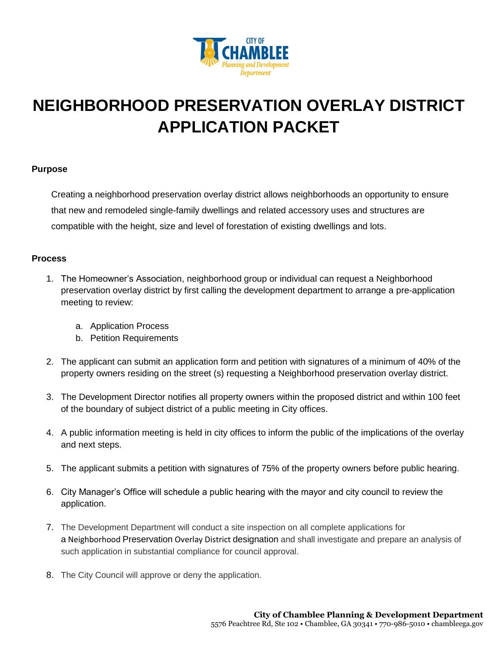

# **NEIGHBORHOOD PRESERVATION OVERLAY DISTRICT APPLICATION PACKET**

## **Purpose**

Creating a neighborhood preservation overlay district allows neighborhoods an opportunity to ensure that new and remodeled single-family dwellings and related accessory uses and structures are compatible with the height, size and level of forestation of existing dwellings and lots.

## **Process**

- 1. The Homeowner's Association, neighborhood group or individual can request a Neighborhood preservation overlay district by first calling the development department to arrange a pre-application meeting to review:
	- a. Application Process
	- b. Petition Requirements
- 2. The applicant can submit an application form and petition with signatures of a minimum of 40% of the property owners residing on the street (s) requesting a Neighborhood preservation overlay district.
- 3. The Development Director notifies all property owners within the proposed district and within 100 feet of the boundary of subject district of a public meeting in City offices.
- 4. A public information meeting is held in city offices to inform the public of the implications of the overlay and next steps.
- 5. The applicant submits a petition with signatures of 75% of the property owners before public hearing.
- 6. City Manager's Office will schedule a public hearing with the mayor and city council to review the application.
- 7. The Development Department will conduct a site inspection on all complete applications for a Neighborhood Preservation Overlay District designation and shall investigate and prepare an analysis of such application in substantial compliance for council approval.
- 8. The City Council will approve or deny the application.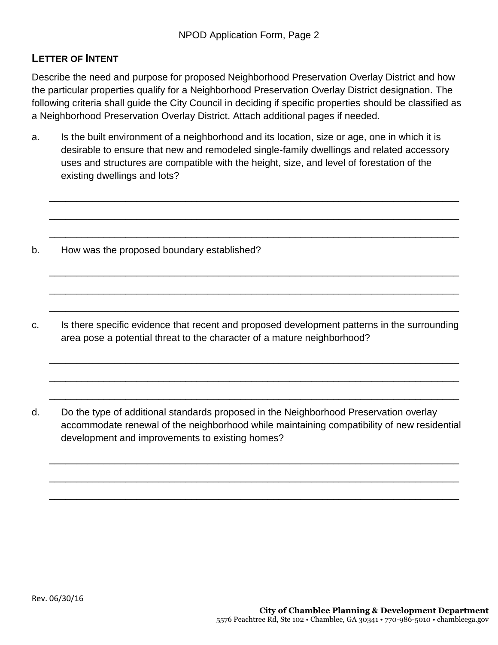## **LETTER OF INTENT**

Describe the need and purpose for proposed Neighborhood Preservation Overlay District and how the particular properties qualify for a Neighborhood Preservation Overlay District designation. The following criteria shall guide the City Council in deciding if specific properties should be classified as a Neighborhood Preservation Overlay District. Attach additional pages if needed.

a. Is the built environment of a neighborhood and its location, size or age, one in which it is desirable to ensure that new and remodeled single-family dwellings and related accessory uses and structures are compatible with the height, size, and level of forestation of the existing dwellings and lots?

\_\_\_\_\_\_\_\_\_\_\_\_\_\_\_\_\_\_\_\_\_\_\_\_\_\_\_\_\_\_\_\_\_\_\_\_\_\_\_\_\_\_\_\_\_\_\_\_\_\_\_\_\_\_\_\_\_\_\_\_\_\_\_\_\_\_\_\_\_\_\_\_\_\_\_

\_\_\_\_\_\_\_\_\_\_\_\_\_\_\_\_\_\_\_\_\_\_\_\_\_\_\_\_\_\_\_\_\_\_\_\_\_\_\_\_\_\_\_\_\_\_\_\_\_\_\_\_\_\_\_\_\_\_\_\_\_\_\_\_\_\_\_\_\_\_\_\_\_\_\_

\_\_\_\_\_\_\_\_\_\_\_\_\_\_\_\_\_\_\_\_\_\_\_\_\_\_\_\_\_\_\_\_\_\_\_\_\_\_\_\_\_\_\_\_\_\_\_\_\_\_\_\_\_\_\_\_\_\_\_\_\_\_\_\_\_\_\_\_\_\_\_\_\_\_\_

\_\_\_\_\_\_\_\_\_\_\_\_\_\_\_\_\_\_\_\_\_\_\_\_\_\_\_\_\_\_\_\_\_\_\_\_\_\_\_\_\_\_\_\_\_\_\_\_\_\_\_\_\_\_\_\_\_\_\_\_\_\_\_\_\_\_\_\_\_\_\_\_\_\_\_

\_\_\_\_\_\_\_\_\_\_\_\_\_\_\_\_\_\_\_\_\_\_\_\_\_\_\_\_\_\_\_\_\_\_\_\_\_\_\_\_\_\_\_\_\_\_\_\_\_\_\_\_\_\_\_\_\_\_\_\_\_\_\_\_\_\_\_\_\_\_\_\_\_\_\_

\_\_\_\_\_\_\_\_\_\_\_\_\_\_\_\_\_\_\_\_\_\_\_\_\_\_\_\_\_\_\_\_\_\_\_\_\_\_\_\_\_\_\_\_\_\_\_\_\_\_\_\_\_\_\_\_\_\_\_\_\_\_\_\_\_\_\_\_\_\_\_\_\_\_\_

\_\_\_\_\_\_\_\_\_\_\_\_\_\_\_\_\_\_\_\_\_\_\_\_\_\_\_\_\_\_\_\_\_\_\_\_\_\_\_\_\_\_\_\_\_\_\_\_\_\_\_\_\_\_\_\_\_\_\_\_\_\_\_\_\_\_\_\_\_\_\_\_\_\_\_

\_\_\_\_\_\_\_\_\_\_\_\_\_\_\_\_\_\_\_\_\_\_\_\_\_\_\_\_\_\_\_\_\_\_\_\_\_\_\_\_\_\_\_\_\_\_\_\_\_\_\_\_\_\_\_\_\_\_\_\_\_\_\_\_\_\_\_\_\_\_\_\_\_\_\_

\_\_\_\_\_\_\_\_\_\_\_\_\_\_\_\_\_\_\_\_\_\_\_\_\_\_\_\_\_\_\_\_\_\_\_\_\_\_\_\_\_\_\_\_\_\_\_\_\_\_\_\_\_\_\_\_\_\_\_\_\_\_\_\_\_\_\_\_\_\_\_\_\_\_\_

\_\_\_\_\_\_\_\_\_\_\_\_\_\_\_\_\_\_\_\_\_\_\_\_\_\_\_\_\_\_\_\_\_\_\_\_\_\_\_\_\_\_\_\_\_\_\_\_\_\_\_\_\_\_\_\_\_\_\_\_\_\_\_\_\_\_\_\_\_\_\_\_\_\_\_

\_\_\_\_\_\_\_\_\_\_\_\_\_\_\_\_\_\_\_\_\_\_\_\_\_\_\_\_\_\_\_\_\_\_\_\_\_\_\_\_\_\_\_\_\_\_\_\_\_\_\_\_\_\_\_\_\_\_\_\_\_\_\_\_\_\_\_\_\_\_\_\_\_\_\_

\_\_\_\_\_\_\_\_\_\_\_\_\_\_\_\_\_\_\_\_\_\_\_\_\_\_\_\_\_\_\_\_\_\_\_\_\_\_\_\_\_\_\_\_\_\_\_\_\_\_\_\_\_\_\_\_\_\_\_\_\_\_\_\_\_\_\_\_\_\_\_\_\_\_\_

- b. How was the proposed boundary established?
- c. Is there specific evidence that recent and proposed development patterns in the surrounding area pose a potential threat to the character of a mature neighborhood?
- d. Do the type of additional standards proposed in the Neighborhood Preservation overlay accommodate renewal of the neighborhood while maintaining compatibility of new residential development and improvements to existing homes?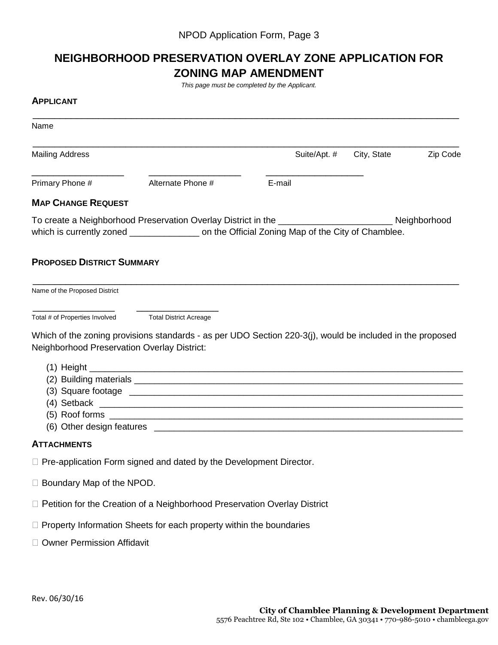## **NEIGHBORHOOD PRESERVATION OVERLAY ZONE APPLICATION FOR ZONING MAP AMENDMENT**

*This page must be completed by the Applicant.* 

#### **APPLICANT**

| Name                                        |                                                                                                                                                                                                               |        |              |             |          |
|---------------------------------------------|---------------------------------------------------------------------------------------------------------------------------------------------------------------------------------------------------------------|--------|--------------|-------------|----------|
| <b>Mailing Address</b>                      |                                                                                                                                                                                                               |        | Suite/Apt. # | City, State | Zip Code |
| Primary Phone #                             | Alternate Phone #                                                                                                                                                                                             | E-mail |              |             |          |
| <b>MAP CHANGE REQUEST</b>                   |                                                                                                                                                                                                               |        |              |             |          |
|                                             | To create a Neighborhood Preservation Overlay District in the _________________________________ Neighborhood<br>which is currently zoned ________________ on the Official Zoning Map of the City of Chamblee. |        |              |             |          |
| <b>PROPOSED DISTRICT SUMMARY</b>            |                                                                                                                                                                                                               |        |              |             |          |
| Name of the Proposed District               |                                                                                                                                                                                                               |        |              |             |          |
| Total # of Properties Involved              | <b>Total District Acreage</b>                                                                                                                                                                                 |        |              |             |          |
|                                             | Which of the zoning provisions standards - as per UDO Section 220-3(j), would be included in the proposed                                                                                                     |        |              |             |          |
| Neighborhood Preservation Overlay District: |                                                                                                                                                                                                               |        |              |             |          |
|                                             |                                                                                                                                                                                                               |        |              |             |          |
|                                             |                                                                                                                                                                                                               |        |              |             |          |
|                                             |                                                                                                                                                                                                               |        |              |             |          |
|                                             |                                                                                                                                                                                                               |        |              |             |          |
|                                             |                                                                                                                                                                                                               |        |              |             |          |
|                                             |                                                                                                                                                                                                               |        |              |             |          |
| <b>ATTACHMENTS</b>                          |                                                                                                                                                                                                               |        |              |             |          |
|                                             | $\Box$ Pre-application Form signed and dated by the Development Director.                                                                                                                                     |        |              |             |          |
| □ Boundary Map of the NPOD.                 |                                                                                                                                                                                                               |        |              |             |          |

- □ Petition for the Creation of a Neighborhood Preservation Overlay District
- $\Box$  Property Information Sheets for each property within the boundaries
- □ Owner Permission Affidavit